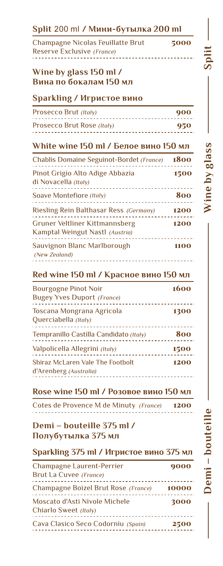| <b>Champagne Nicolas Feuillatte Brut</b><br>Reserve Exclusive (France)                 | 5000       |
|----------------------------------------------------------------------------------------|------------|
| Wine by glass 150 ml /<br>Вина по бокалам 150 мл                                       |            |
| <b>Sparkling / Игристое вино</b>                                                       |            |
| Prosecco Brut (Italy)<br>____________________<br>Prosecco Brut Rose (Italy)            | 900<br>950 |
| .                                                                                      |            |
| White wine 150 ml / Белое вино 150 мл<br>Chablis Domaine Seguinot-Bordet (France) 1800 |            |
| Pinot Grigio Alto Adige Abbazia<br>di Novacella (Italy)                                | 1500       |
| <u>________________</u> _<br>Soave Montefiore (Italy)                                  | 800        |
| Riesling Rein Balthasar Ress (Germany) 1200                                            |            |
| <b>Gruner Veltliner Kittmannsberg</b><br>Kamptal Weingut Nastl (Austria)               | 1200       |
| Sauvignon Blanc Marlborough<br>(New Zealand)<br><u>.</u>                               | 1100       |
| Red wine 150 ml / Красное вино 150 мл                                                  |            |
| <b>Bourgogne Pinot Noir</b><br><b>Bugey Yves Duport (France)</b>                       | 1600       |
| Toscana Mongrana Agricola<br>Querciabella (Italy)                                      | 1300       |
| Tempranillo Castilla Candidato (Italy)                                                 | 800        |
| Valpolicella Allegrini (Italy)                                                         | 1500       |
| Shiraz McLaren Vale The Footbolt<br>d'Arenberg (Australia)                             | 1200       |
| Rose wine 150 ml / Розовое вино 150 мл                                                 |            |
| Cotes de Provence M de Minuty (France) 1200                                            |            |

# **Полубутылка 375 мл**

# **Sparkling 375 ml / Игристое вино 375 мл**

| Champagne Laurent-Perrier                              | 9000  |
|--------------------------------------------------------|-------|
| Brut La Cuvee (France)                                 |       |
| Champagne Boizel Brut Rose (France)                    | 10000 |
| Moscato d'Asti Nivole Michele<br>Chiarlo Sweet (Italy) | 3000  |
| Cava Clasico Seco Codorniu (Spain)                     | 2500  |

**Demi – bouteille**  $-$  Demi  $-$  boute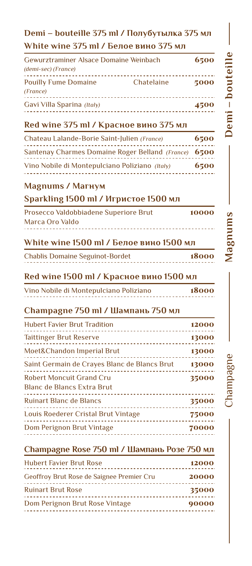# **Demi – bouteille 375 ml / Полубутылка 375 мл White wine 375 ml / Белое вино 375 мл**

| Gewurztraminer Alsace Domaine Weinbach<br>(demi-sec) (France) |            | 6500 |
|---------------------------------------------------------------|------------|------|
| <b>Pouilly Fume Domaine</b><br>(France)                       | Chatelaine | 5000 |
| Gavi Villa Sparina (Italy)                                    |            | 4500 |

# **Red wine 375 ml / Красное вино 375 мл**

| Chateau Lalande-Borie Saint-Julien (France)          |      |  |  |  |  |  |
|------------------------------------------------------|------|--|--|--|--|--|
| Santenay Charmes Domaine Roger Belland (France) 6500 |      |  |  |  |  |  |
| Vino Nobile di Montepulciano Poliziano (Italy)       | 6500 |  |  |  |  |  |

# **Magnums / Магнум**

# **Sparkling 1500 ml / Игристое 1500 мл**

| Prosecco Valdobbiadene Superiore Brut | 10000 |
|---------------------------------------|-------|
| Marca Oro Valdo                       |       |
|                                       |       |

# **White wine 1500 ml / Белое вино 1500 мл**

| <b>Chablis Domaine Seguinot-Bordet</b> |  |  |  |  |  |  |  |  |  |  |  |  |  |  |  |  |  |  |  |
|----------------------------------------|--|--|--|--|--|--|--|--|--|--|--|--|--|--|--|--|--|--|--|
| .                                      |  |  |  |  |  |  |  |  |  |  |  |  |  |  |  |  |  |  |  |

# **Red wine 1500 ml / Красное вино 1500 мл**

| Vino Nobile di Montepulciano Poliziano |  |  | 18000 |
|----------------------------------------|--|--|-------|
|                                        |  |  |       |

# **Champagne 750 ml / Шампань 750 мл**

| <b>Hubert Favier Brut Tradition</b>                                  | 12000 |
|----------------------------------------------------------------------|-------|
| <b>Taittinger Brut Reserve</b>                                       | 13000 |
| <b>Moet&amp;Chandon Imperial Brut</b>                                | 13000 |
| Saint Germain de Crayes Blanc de Blancs Brut                         | 13000 |
| <b>Robert Moncuit Grand Cru</b><br><b>Blanc de Blancs Extra Brut</b> | 35000 |
| Ruinart Blanc de Blancs                                              | 35000 |
| Louis Roederer Cristal Brut Vintage                                  | 75000 |
| Dom Perignon Brut Vintage                                            | 70000 |
|                                                                      |       |

# **Champagne Rose 750 ml / Шампань Розе 750 мл**

| <b>Hubert Favier Brut Rose</b>            | 12000 |
|-------------------------------------------|-------|
| Geoffroy Brut Rose de Saignee Premier Cru | 20000 |
| <b>Ruinart Brut Rose</b>                  | 35000 |
| Dom Perignon Brut Rose Vintage            | 90000 |
|                                           |       |

18000

Champagne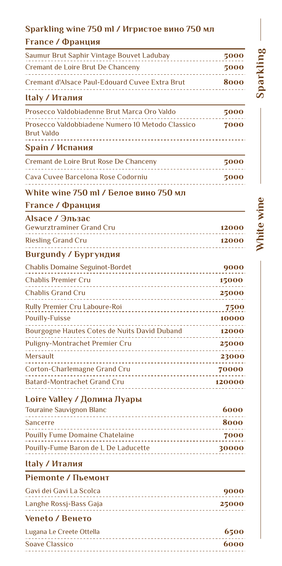# **Sparkling wine 750 ml / Игристое вино 750 мл**

# **France / Франция**

| $H_2$ / $H_3$ $\mu$                            |      |
|------------------------------------------------|------|
| Cremant d'Alsace Paul-Edouard Cuvee Extra Brut | 8000 |
| Cremant de Loire Brut De Chanceny              | 5000 |
| Saumur Brut Saphir Vintage Bouvet Ladubay      | 5000 |

#### **Italy / Италия**

| Prosecco Valdobiadenne Brut Marca Oro Valdo                    | 5000 |
|----------------------------------------------------------------|------|
| Prosecco Valdobbiadene Numero 10 Metodo Classico<br>Brut Valdo | 7000 |
|                                                                |      |

# **Spain / Испания**

| Cremant de Loire Brut Rose De Chanceny | 5000 |
|----------------------------------------|------|
| Cava Cuvee Barcelona Rose Codorniu     | 5000 |

# **White wine 750 ml / Белое вино 750 мл**

# **France / Франция**

| Alsace / Эльзас          |       |
|--------------------------|-------|
| Gewurztraminer Grand Cru | 12000 |
| Riesling Grand Cru       | 12000 |

# **Burgundy / Бургундия**

| <b>Chablis Domaine Seguinot-Bordet</b>                                      | 9000   |
|-----------------------------------------------------------------------------|--------|
| <b>Chablis Premier Cru</b>                                                  | 15000  |
| <b>Chablis Grand Cru</b>                                                    | 25000  |
| Rully Premier Cru Laboure-Roi                                               | 7500   |
| <b>Pouilly-Fuisse</b>                                                       | 10000  |
| Bourgogne Hautes Cotes de Nuits David Duband                                | 12000  |
| Puligny-Montrachet Premier Cru                                              | 25000  |
| <b>Mersault</b>                                                             | 23000  |
| Corton-Charlemagne Grand Cru                                                | 70000  |
| <b>Batard-Montrachet Grand Cru</b><br>------------------------------------- | 120000 |

# **Loire Valley / Долина Луары**

| <b>Touraine Sauvignon Blanc</b>        | 6000  |
|----------------------------------------|-------|
| <b>Sancerre</b>                        | 8000  |
| <b>Pouilly Fume Domaine Chatelaine</b> | 7000  |
| Pouilly-Fume Baron de L De Laducette   | 30000 |
|                                        |       |

# **Italy / Италия**

# **Piemonte / Пьемонт**

| Gavi dei Gavi La Scolca | 9000  |
|-------------------------|-------|
| Langhe Rossj-Bass Gaja  | 25000 |

# **Veneto / Венето**

| Lugana Le Creete Ottella | 6500 |
|--------------------------|------|
| <b>Soave Classico</b>    | 6000 |
|                          |      |

# **Sparkling**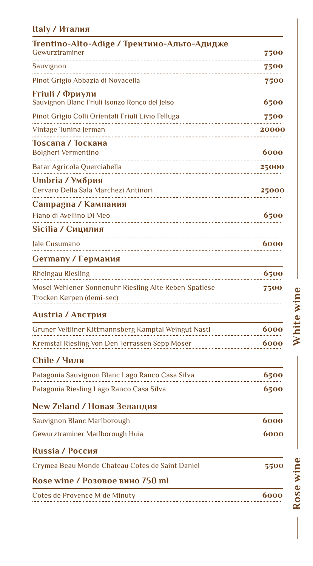# **Italy / Италия**

| Trentino-Alto-Adige / Трентино-Альто-Адидже<br>Gewurztraminer                      | 7500                       |
|------------------------------------------------------------------------------------|----------------------------|
| Sauvignon                                                                          | 7500                       |
| Pinot Grigio Abbazia di Novacella                                                  | 7500                       |
| Friuli / Фриули<br>Sauvignon Blanc Friuli Isonzo Ronco del Jelso                   | 6500                       |
| Pinot Grigio Colli Orientali Friuli Livio Felluga                                  | 7500                       |
| Vintage Tunina Jerman                                                              | 20000                      |
| Toscana / Тоскана<br><b>Bolgheri Vermentino</b>                                    | 6000                       |
| Batar Agricola Querciabella<br>______________________                              | 25000                      |
| Umbria / Умбрия<br>Cervaro Della Sala Marchezi Antinori                            | 25000                      |
| Сатрадпа / Кампания<br>Fiano di Avellino Di Meo                                    | 6500                       |
| Sicilia / Сицилия                                                                  |                            |
| Jale Cusumano                                                                      | 6000                       |
| Germany / Германия                                                                 |                            |
| <b>Rheingau Riesling</b>                                                           | 6500                       |
| Mosel Wehlener Sonnenuhr Riesling Alte Reben Spatlese<br>Trocken Kerpen (demi-sec) | 7500                       |
| <b>Austria / Австрия</b>                                                           |                            |
| Gruner Veltliner Kittmannsberg Kamptal Weingut Nastl                               | 6000                       |
| Kremstal Riesling Von Den Terrassen Sepp Moser                                     | 6000                       |
| Chile / Чили                                                                       |                            |
| $\bigcap \cdot$                                                                    | $\epsilon$ = $\sim$ $\sim$ |

# Patagonia Sauvignon Blanc Lago Ranco Casa Silva 6500 Patagonia Riesling Lago Ranco Casa Silva 6500 6500

# **New Zeland / Новая Зеландия**

| Sauvignon Blanc Marlborough                     | 6000 |
|-------------------------------------------------|------|
| Gewurztraminer Marlborough Huia                 | 6000 |
| <b>Russia / Россия</b>                          |      |
| Crymea Beau Monde Chateau Cotes de Saint Daniel | 5500 |
| Rose wine / Розовое вино 750 ml                 |      |

| Cotes de Provence M de Minuty | 6000 |  |
|-------------------------------|------|--|
|                               |      |  |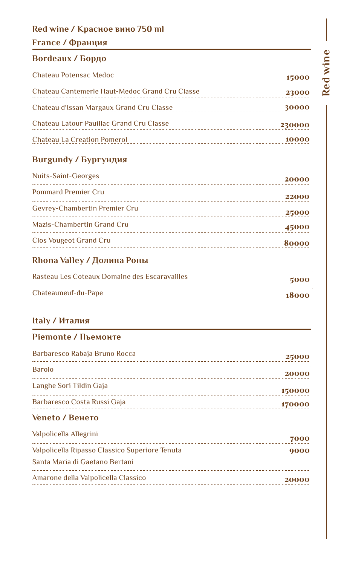# **Red wine / Красное вино 750 ml**

# **France / Франция**

# **Bordeaux / Бордо**

| <b>Chateau Potensac Medoc</b>                                                  | 15000  |
|--------------------------------------------------------------------------------|--------|
| Chateau Cantemerle Haut-Medoc Grand Cru Classe                                 | 23000  |
| Chateau d'Issan Margaux Grand Cru Classe<br>__________________________________ | 30000  |
| Chateau Latour Pauillac Grand Cru Classe                                       | 230000 |
| <b>Chateau La Creation Pomerol</b>                                             | 10000  |

# **Burgundy / Бургундия**

| Nuits-Saint-Georges               | 20000 |
|-----------------------------------|-------|
| <b>Pommard Premier Cru</b>        | 22000 |
| Gevrey-Chambertin Premier Cru     | 25000 |
| <b>Mazis-Chambertin Grand Cru</b> | 45000 |
| <b>Clos Vougeot Grand Cru</b>     | 80000 |

# **Rhona Valley / Долина Роны**

| Rasteau Les Coteaux Domaine des Escaravailles | 5000   |
|-----------------------------------------------|--------|
| Chateauneuf-du-Pape                           | -18000 |

# **Italy / Италия**

# **Piemonte / Пьемонте**

| Barbaresco Rabaja Bruno Rocca | 25000  |
|-------------------------------|--------|
| <b>Barolo</b>                 | 20000  |
| Langhe Sori Tildin Gaja       | 150000 |
| Barbaresco Costa Russi Gaja   | 170000 |

# **Veneto / Венето**

| Valpolicella Allegrini                         | 7000  |
|------------------------------------------------|-------|
| Valpolicella Ripasso Classico Superiore Tenuta | 9000  |
| Santa Maria di Gaetano Bertani                 |       |
| Amarone della Valpolicella Classico            | 20000 |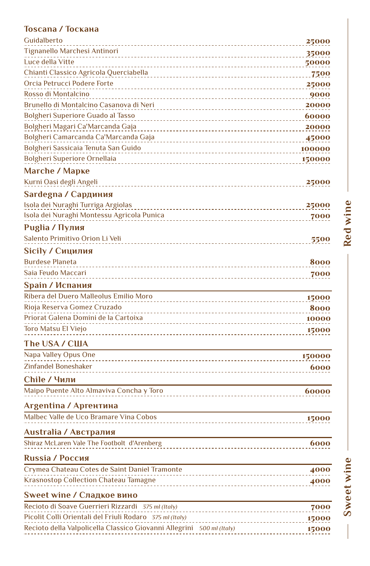# **Toscana / Тоскана**

| Guidalberto                                                           | 25000  |
|-----------------------------------------------------------------------|--------|
| Tignanello Marchesi Antinori                                          | 35000  |
| Luce della Vitte                                                      | 50000  |
| Chianti Classico Agricola Querciabella                                | 7500   |
| Orcia Petrucci Podere Forte                                           | 25000  |
| Rosso di Montalcino                                                   | 9000   |
| Brunello di Montalcino Casanova di Neri                               | 20000  |
| <b>Bolgheri Superiore Guado al Tasso</b>                              | 60000  |
| Bolgheri Magari Ca'Marcanda Gaja                                      | 20000  |
| Bolgheri Camarcanda Ca'Marcanda Gaja<br>_____________________________ | 45000  |
| Bolgheri Sassicaia Tenuta San Guido                                   | 100000 |
| <b>Bolgheri Superiore Ornellaia</b>                                   | 150000 |
| <b>Marche / Марке</b>                                                 |        |
| Kurni Oasi degli Angeli                                               | 25000  |
| Sardegna / Сардиния                                                   |        |
| Isola dei Nuraghi Turriga Argiolas                                    | 25000  |
| Isola dei Nuraghi Montessu Agricola Punica                            | 7000   |
| Puglia / Пулия                                                        |        |
| Salento Primitivo Orion Li Veli                                       | 5500   |
| Sicily / Сицилия                                                      |        |
| <b>Burdese Planeta</b>                                                | 8000   |
| Saia Feudo Maccari                                                    |        |
|                                                                       | 7000   |
| Spain / Испания                                                       |        |
| Ribera del Duero Malleolus Emilio Moro                                | 15000  |
| Rioja Reserva Gomez Cruzado                                           | 8000   |
| Priorat Galena Domini de la Cartoixa                                  | 10000  |
| Toro Matsu El Viejo<br>-------------------------------                | 15000  |
| The USA / CШA                                                         |        |
| Napa Valley Opus One<br>_________________________________             | 150000 |
| Zinfandel Boneshaker                                                  | 6000   |
| Chile / Чили                                                          |        |
| Maipo Puente Alto Almaviva Concha y Toro                              | 60000  |
|                                                                       |        |
| Argentina / Аргентина                                                 |        |
| Malbec Valle de Uco Bramare Vina Cobos                                | 15000  |
| Australia / Австралия                                                 |        |
| Shiraz McLaren Vale The Footbolt d'Arenberg                           | 6000   |
| Russia / Россия                                                       |        |
| Crymea Chateau Cotes de Saint Daniel Tramonte                         | 4000   |
| Krasnostop Collection Chateau Tamagne                                 | 4000   |
| _____________________________                                         |        |
| Sweet wine / Сладкое вино                                             |        |
| Recioto di Soave Guerrieri Rizzardi 375 ml (Italy)                    | 7000   |
| Picolit Colli Orientali del Friuli Rodaro 375 ml (Italy)              | 15000  |
| Recioto della Valpolicella Classico Giovanni Allegrini 500 ml (Italy) | 15000  |

**Red wine**

**Sweet wine**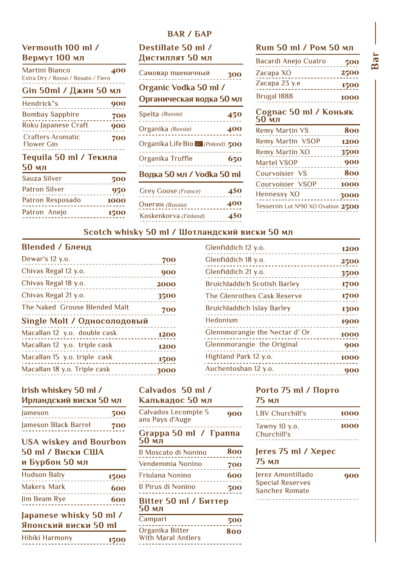# Vermouth 100 ml / Вермут 100 мл

| Martini Bianco<br>Extra Dry / Rosso / Rosato / Fiero | 400  |
|------------------------------------------------------|------|
| Gin 50ml / Джин 50 мл                                |      |
| Hendrick"s                                           | 900  |
| <b>Bombay Sapphire</b>                               | 700  |
| Roku Japanese Craft                                  | 900  |
| <b>Crafters Aromatic</b><br><b>Flower Gin</b>        | 700  |
| Tequila 50 ml / Текила<br>50 мл                      |      |
| Sauza Silver                                         | 500  |
| <b>Patron Silver</b>                                 | 950  |
| Patron Resposado                                     | 1000 |
| Patron Anejo                                         | 1500 |

# **BAR / GAP** Destillate 50 ml / Дистиллят 50 мл

| 400       | Самовар пшеничный                                 | 300 |
|-----------|---------------------------------------------------|-----|
| ΜЛ<br>900 | Organic Vodka 50 ml /<br>Органическая водка 50 мл |     |
| 700       | Spelta (Russia)                                   | 450 |
| 900       | Organika (Russia)                                 | 400 |
| 700       | Organika Life Bio 22 (Poland) 500                 |     |
| ıa        | Organika Truffle                                  | 650 |
| 500       | Водка 50 мл / Vodka 50 ml                         |     |
| 950       | <b>Grey Goose (France)</b>                        | 450 |
| 000       | Oнегин <i>(Russia)</i>                            | 400 |
| 500       | Koskenkorva (Finland)                             | 450 |
|           |                                                   |     |

#### Rum 50 ml / Ром 50 мл

| Bacardi Anejo Cuatro | 500  |
|----------------------|------|
| Zacapa XO            | 2500 |
| Zacapa 23 y.e        | 1500 |
| Brugal 1888          | 1000 |

#### Cognac 50 ml / Коньяк мл

| <b>Remy Martin VS</b>             | 800  |
|-----------------------------------|------|
| <b>Remy Martin VSOP</b>           | 1200 |
| <b>Remy Martin XO</b>             | 3500 |
| <b>Martel VSOP</b>                | 900  |
| Courvoisier VS                    | 800  |
| Courvoisier VSOP                  | 1000 |
| <b>Hennessy XO</b>                | 3000 |
| Tesseron Lot Nº90 XO Ovation 2500 |      |
|                                   |      |

#### Scotch whisky 50 ml / Шотландский виски 50 мл

#### **Blended / Бленд**

| Dewar's 12 y.o.               | 700  |
|-------------------------------|------|
| Chivas Regal 12 y.o.          | 900  |
| Chivas Regal 18 y.o.          | 2000 |
| Chivas Regal 21 y.o.          | 3500 |
| The Naked Grouse Blended Malt | 700  |
| Single Molt / Односолодовый   |      |
| Macallan 12 y.o. double cask  | 1200 |
| Macallan 12 y.o. triple cask  | 1200 |
| Macallan 15 y.o. triple cask  | 1500 |
| Macallan 18 y.o. Triple cask  | 30   |
|                               |      |

|      | Glenfiddich 12 y.o.                 | 1200 |
|------|-------------------------------------|------|
| 700  | Glenfiddich 18 y.o.                 | 2500 |
| 900  | Glenfiddich 21 y.o.                 | 3500 |
| 2000 | <b>Bruichladdich Scotish Barley</b> | 1700 |
| 3500 | The Glenrothes Cask Reserve         | 1700 |
| 700  | <b>Bruichladdich Islay Barley</b>   | 1300 |
|      | Hedonism                            | 1900 |
| 1200 | Glennmorangie the Nectar d'Or       | 1000 |
| 1200 | Glennmorangie the Original          | 900  |
| 1500 | Highland Park 12 y.o.               | 1000 |
| 3000 | Auchentoshan 12 y.o.                | 900  |
|      |                                     |      |

#### Irish whiskey 50 ml / Ирландский виски 50 мл

| <b>Jameson</b>       | 500 |
|----------------------|-----|
| Jameson Black Barrel | 700 |

# **USA wiskey and Bourbon 50 ml / Виски США** и Бурбон 50 мл

| <b>Hudson Baby</b>                              | 1500 |
|-------------------------------------------------|------|
| <b>Makers Mark</b>                              | 600  |
| Jim Beam Rye                                    | 600  |
| Japanese whisky 50 ml /<br>Японский виски 50 ml |      |
| $113 \times 141$                                |      |

| Hibiki Harmony |  |  |  |  |  |  |  |  |  |  |  |  |  |  | 1500 |
|----------------|--|--|--|--|--|--|--|--|--|--|--|--|--|--|------|
|                |  |  |  |  |  |  |  |  |  |  |  |  |  |  |      |

#### Calvados 50 ml / Кальвадос 50 мл

| Calvados Lecompte 5<br>ans Pays d'Auge | 900 |
|----------------------------------------|-----|
| Grappa 50 ml / Граппа<br>50 мл         |     |
| Il Moscato di Nonino                   | 800 |
| Vendemmia Nonino                       | 700 |
| <b>Friulana Nonino</b>                 | 600 |
| Il Pirus di Nonino                     | 500 |
| Bitter 50 ml / Биттер<br>50 мл         |     |
| Campari                                |     |

#### Organika Bitter With Maral Antlers

#### Porto 75 ml / Порто 75 мл

| 900 | 1 BV Churchill's               | 1000 |
|-----|--------------------------------|------|
| ппа | Tawny $10$ y.o.<br>Churchill's | 1000 |

#### Jeres 75 ml / Xepec 75 мл

Jerez Amontillado **Special Reserves** Sanchez Romate .................................

Bar